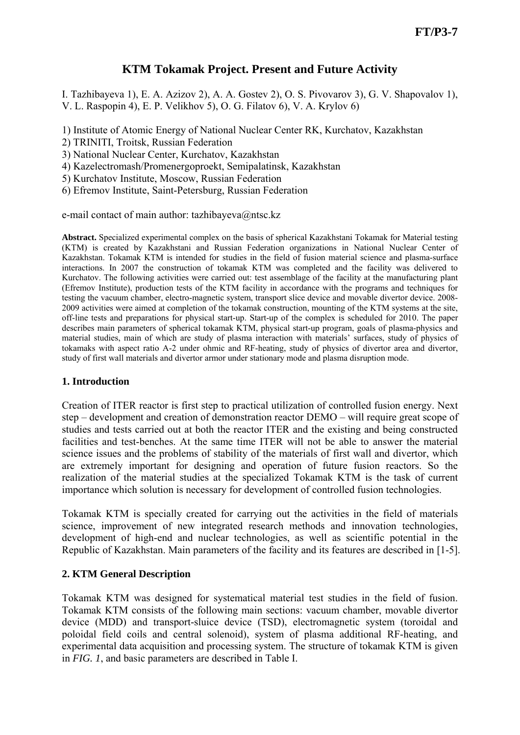# **KTM Tokamak Project. Present and Future Activity**

I. Tazhibayeva 1), E. A. Azizov 2), A. A. Gostev 2), O. S. Pivovarov 3), G. V. Shapovalov 1), V. L. Raspopin 4), E. P. Velikhov 5), O. G. Filatov 6), V. A. Krylov 6)

1) Institute of Atomic Energy of National Nuclear Center RK, Kurchatov, Kazakhstan

2) TRINITI, Troitsk, Russian Federation

3) National Nuclear Center, Kurchatov, Kazakhstan

4) Kazelectromash/Promenergoproekt, Semipalatinsk, Kazakhstan

5) Kurchatov Institute, Moscow, Russian Federation

6) Efremov Institute, Saint-Petersburg, Russian Federation

e-mail contact of main author: tazhibayeva@ntsc.kz

**Abstract.** Specialized experimental complex on the basis of spherical Kazakhstani Tokamak for Material testing (KTM) is created by Kazakhstani and Russian Federation organizations in National Nuclear Center of Kazakhstan. Tokamak KTM is intended for studies in the field of fusion material science and plasma-surface interactions. In 2007 the construction of tokamak KTM was completed and the facility was delivered to Kurchatov. The following activities were carried out: test assemblage of the facility at the manufacturing plant (Efremov Institute), production tests of the KTM facility in accordance with the programs and techniques for testing the vacuum chamber, electro-magnetic system, transport slice device and movable divertor device. 2008- 2009 activities were aimed at completion of the tokamak construction, mounting of the KTM systems at the site, off-line tests and preparations for physical start-up. Start-up of the complex is scheduled for 2010. The paper describes main parameters of spherical tokamak KTM, physical start-up program, goals of plasma-physics and material studies, main of which are study of plasma interaction with materials' surfaces, study of physics of tokamaks with aspect ratio A-2 under ohmic and RF-heating, study of physics of divertor area and divertor, study of first wall materials and divertor armor under stationary mode and plasma disruption mode.

#### **1. Introduction**

Creation of ITER reactor is first step to practical utilization of controlled fusion energy. Next step – development and creation of demonstration reactor DEMO – will require great scope of studies and tests carried out at both the reactor ITER and the existing and being constructed facilities and test-benches. At the same time ITER will not be able to answer the material science issues and the problems of stability of the materials of first wall and divertor, which are extremely important for designing and operation of future fusion reactors. So the realization of the material studies at the specialized Tokamak KTM is the task of current importance which solution is necessary for development of controlled fusion technologies.

Tokamak KTM is specially created for carrying out the activities in the field of materials science, improvement of new integrated research methods and innovation technologies, development of high-end and nuclear technologies, as well as scientific potential in the Republic of Kazakhstan. Main parameters of the facility and its features are described in [1-5].

## **2. KTM General Description**

Tokamak KTM was designed for systematical material test studies in the field of fusion. Tokamak KTM consists of the following main sections: vacuum chamber, movable divertor device (MDD) and transport-sluice device (TSD), electromagnetic system (toroidal and poloidal field coils and central solenoid), system of plasma additional RF-heating, and experimental data acquisition and processing system. The structure of tokamak KTM is given in *FIG. 1*, and basic parameters are described in Table I.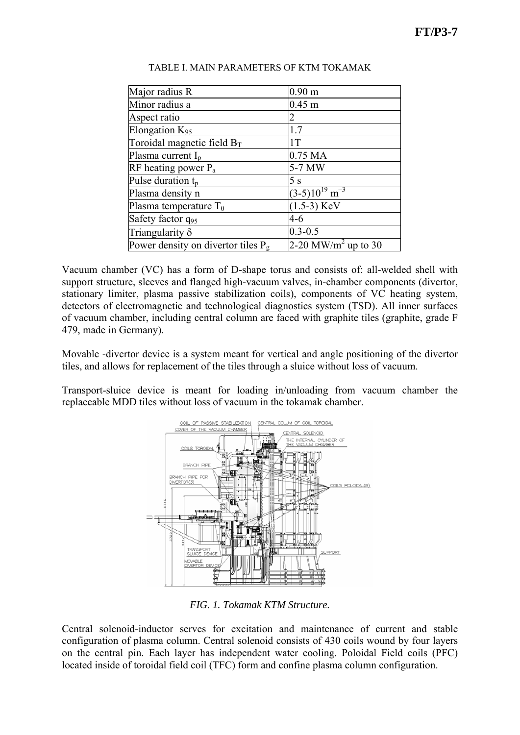| Major radius R                        | 0.90 <sub>m</sub>               |
|---------------------------------------|---------------------------------|
| Minor radius a                        | $0.45 \text{ m}$                |
| Aspect ratio                          |                                 |
| Elongation $K_{95}$                   | 1.7                             |
| Toroidal magnetic field $B_T$         | 1T                              |
| Plasma current $I_p$                  | 0.75 MA                         |
| RF heating power $P_a$                | 5-7 MW                          |
| Pulse duration t <sub>p</sub>         | 5 s                             |
| Plasma density n                      | $(3-5)10^{19}$ m <sup>-3</sup>  |
| Plasma temperature $T_0$              | $(1.5-3)$ KeV                   |
| Safety factor q95                     | 4-6                             |
| Triangularity $\delta$                | $0.3 - 0.5$                     |
| Power density on divertor tiles $P_g$ | 2-20 MW/m <sup>2</sup> up to 30 |
|                                       |                                 |

#### TABLE I. MAIN PARAMETERS OF KTM TOKAMAK

Vacuum chamber (VC) has a form of D-shape torus and consists of: all-welded shell with support structure, sleeves and flanged high-vacuum valves, in-chamber components (divertor, stationary limiter, plasma passive stabilization coils), components of VC heating system, detectors of electromagnetic and technological diagnostics system (TSD). All inner surfaces of vacuum chamber, including central column are faced with graphite tiles (graphite, grade F 479, made in Germany).

Movable -divertor device is a system meant for vertical and angle positioning of the divertor tiles, and allows for replacement of the tiles through a sluice without loss of vacuum.

Transport-sluice device is meant for loading in/unloading from vacuum chamber the replaceable MDD tiles without loss of vacuum in the tokamak chamber.



*FIG. 1. Tokamak KTM Structure.* 

Central solenoid-inductor serves for excitation and maintenance of current and stable configuration of plasma column. Central solenoid consists of 430 coils wound by four layers on the central pin. Each layer has independent water cooling. Poloidal Field coils (PFC) located inside of toroidal field coil (TFC) form and confine plasma column configuration.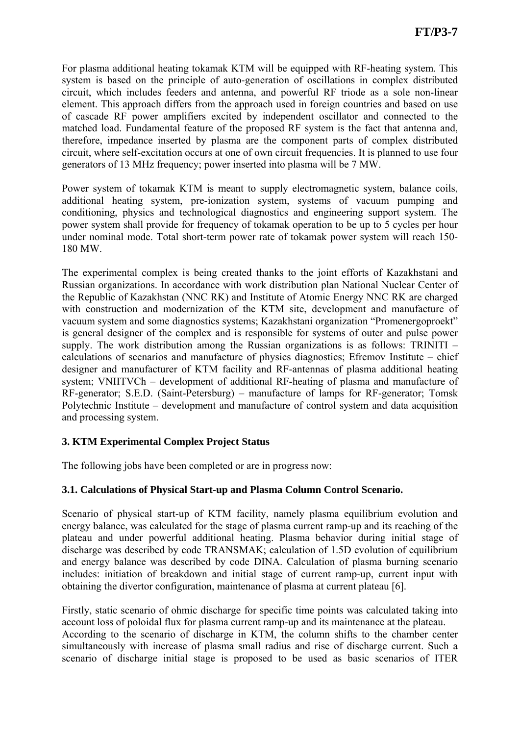For plasma additional heating tokamak KTM will be equipped with RF-heating system. This system is based on the principle of auto-generation of oscillations in complex distributed circuit, which includes feeders and antenna, and powerful RF triode as a sole non-linear element. This approach differs from the approach used in foreign countries and based on use of cascade RF power amplifiers excited by independent oscillator and connected to the matched load. Fundamental feature of the proposed RF system is the fact that antenna and, therefore, impedance inserted by plasma are the component parts of complex distributed circuit, where self-excitation occurs at one of own circuit frequencies. It is planned to use four generators of 13 MHz frequency; power inserted into plasma will be 7 MW.

Power system of tokamak KTM is meant to supply electromagnetic system, balance coils, additional heating system, pre-ionization system, systems of vacuum pumping and conditioning, physics and technological diagnostics and engineering support system. The power system shall provide for frequency of tokamak operation to be up to 5 cycles per hour under nominal mode. Total short-term power rate of tokamak power system will reach 150- 180 MW.

The experimental complex is being created thanks to the joint efforts of Kazakhstani and Russian organizations. In accordance with work distribution plan National Nuclear Center of the Republic of Kazakhstan (NNC RK) and Institute of Atomic Energy NNC RK are charged with construction and modernization of the KTM site, development and manufacture of vacuum system and some diagnostics systems; Kazakhstani organization "Promenergoproekt" is general designer of the complex and is responsible for systems of outer and pulse power supply. The work distribution among the Russian organizations is as follows: TRINITI – calculations of scenarios and manufacture of physics diagnostics; Efremov Institute – chief designer and manufacturer of KTM facility and RF-antennas of plasma additional heating system; VNIITVCh – development of additional RF-heating of plasma and manufacture of RF-generator; S.E.D. (Saint-Petersburg) – manufacture of lamps for RF-generator; Tomsk Polytechnic Institute – development and manufacture of control system and data acquisition and processing system.

# **3. KTM Experimental Complex Project Status**

The following jobs have been completed or are in progress now:

## **3.1. Calculations of Physical Start-up and Plasma Column Control Scenario.**

Scenario of physical start-up of KTM facility, namely plasma equilibrium evolution and energy balance, was calculated for the stage of plasma current ramp-up and its reaching of the plateau and under powerful additional heating. Plasma behavior during initial stage of discharge was described by code TRANSMAK; calculation of 1.5D evolution of equilibrium and energy balance was described by code DINA. Calculation of plasma burning scenario includes: initiation of breakdown and initial stage of current ramp-up, current input with obtaining the divertor configuration, maintenance of plasma at current plateau [6].

Firstly, static scenario of ohmic discharge for specific time points was calculated taking into account loss of poloidal flux for plasma current ramp-up and its maintenance at the plateau.

According to the scenario of discharge in KTM, the column shifts to the chamber center simultaneously with increase of plasma small radius and rise of discharge current. Such a scenario of discharge initial stage is proposed to be used as basic scenarios of ITER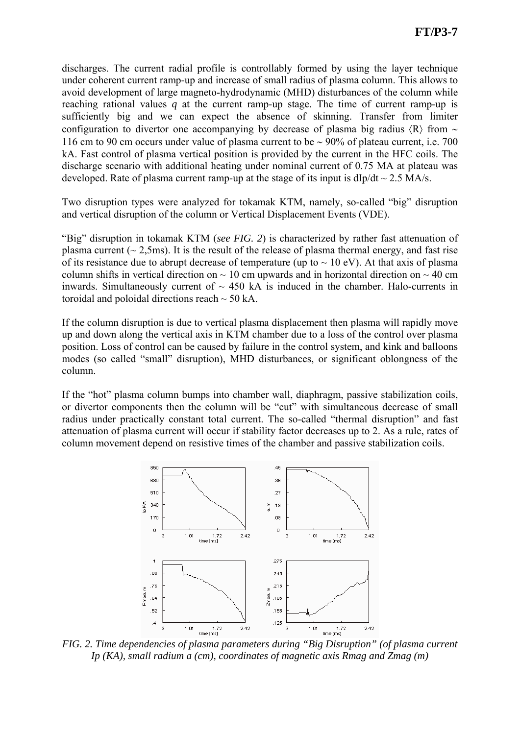discharges. The current radial profile is controllably formed by using the layer technique under coherent current ramp-up and increase of small radius of plasma column. This allows to avoid development of large magneto-hydrodynamic (MHD) disturbances of the column while reaching rational values *q* at the current ramp-up stage. The time of current ramp-up is sufficiently big and we can expect the absence of skinning. Transfer from limiter configuration to divertor one accompanying by decrease of plasma big radius 〈R〉 from ∼ 116 cm to 90 cm occurs under value of plasma current to be ∼ 90% of plateau current, i.e. 700 kA. Fast control of plasma vertical position is provided by the current in the HFC coils. The discharge scenario with additional heating under nominal current of 0.75 MA at plateau was developed. Rate of plasma current ramp-up at the stage of its input is  $d/p/dt \sim 2.5$  MA/s.

Two disruption types were analyzed for tokamak KTM, namely, so-called "big" disruption and vertical disruption of the column or Vertical Displacement Events (VDE).

"Big" disruption in tokamak KTM (*see FIG. 2*) is characterized by rather fast attenuation of plasma current ( $\sim$  2,5ms). It is the result of the release of plasma thermal energy, and fast rise of its resistance due to abrupt decrease of temperature (up to  $\sim 10$  eV). At that axis of plasma column shifts in vertical direction on  $\sim$  10 cm upwards and in horizontal direction on  $\sim$  40 cm inwards. Simultaneously current of  $\sim$  450 kA is induced in the chamber. Halo-currents in toroidal and poloidal directions reach  $\sim$  50 kA.

If the column disruption is due to vertical plasma displacement then plasma will rapidly move up and down along the vertical axis in KTM chamber due to a loss of the control over plasma position. Loss of control can be caused by failure in the control system, and kink and balloons modes (so called "small" disruption), MHD disturbances, or significant oblongness of the column.

If the "hot" plasma column bumps into chamber wall, diaphragm, passive stabilization coils, or divertor components then the column will be "cut" with simultaneous decrease of small radius under practically constant total current. The so-called "thermal disruption" and fast attenuation of plasma current will occur if stability factor decreases up to 2. As a rule, rates of column movement depend on resistive times of the chamber and passive stabilization coils.



*FIG. 2. Time dependencies of plasma parameters during "Big Disruption" (of plasma current Ip (KA), small radium a (cm), coordinates of magnetic axis Rmag and Zmag (m)*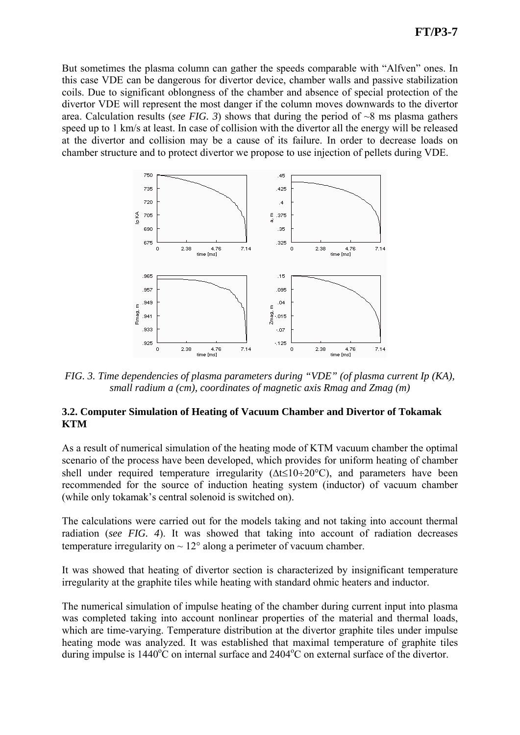But sometimes the plasma column can gather the speeds comparable with "Alfven" ones. In this case VDE can be dangerous for divertor device, chamber walls and passive stabilization coils. Due to significant oblongness of the chamber and absence of special protection of the divertor VDE will represent the most danger if the column moves downwards to the divertor area. Calculation results (*see FIG. 3*) shows that during the period of  $\sim 8$  ms plasma gathers speed up to 1 km/s at least. In case of collision with the divertor all the energy will be released at the divertor and collision may be a cause of its failure. In order to decrease loads on chamber structure and to protect divertor we propose to use injection of pellets during VDE.



*FIG. 3. Time dependencies of plasma parameters during "VDE" (of plasma current Ip (KA), small radium a (cm), coordinates of magnetic axis Rmag and Zmag (m)* 

### **3.2. Computer Simulation of Heating of Vacuum Chamber and Divertor of Tokamak KTM**

As a result of numerical simulation of the heating mode of KTM vacuum chamber the optimal scenario of the process have been developed, which provides for uniform heating of chamber shell under required temperature irregularity ( $\Delta t \le 10 \div 20$ °C), and parameters have been recommended for the source of induction heating system (inductor) of vacuum chamber (while only tokamak's central solenoid is switched on).

The calculations were carried out for the models taking and not taking into account thermal radiation (*see FIG. 4*). It was showed that taking into account of radiation decreases temperature irregularity on  $\sim 12^{\circ}$  along a perimeter of vacuum chamber.

It was showed that heating of divertor section is characterized by insignificant temperature irregularity at the graphite tiles while heating with standard ohmic heaters and inductor.

The numerical simulation of impulse heating of the chamber during current input into plasma was completed taking into account nonlinear properties of the material and thermal loads, which are time-varying. Temperature distribution at the divertor graphite tiles under impulse heating mode was analyzed. It was established that maximal temperature of graphite tiles during impulse is  $1440^{\circ}$ C on internal surface and  $2404^{\circ}$ C on external surface of the divertor.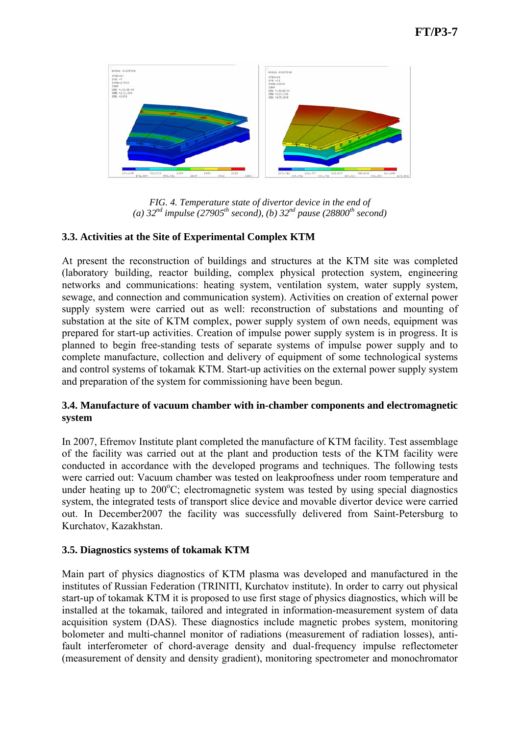

*FIG. 4. Temperature state of divertor device in the end of*  (a)  $32^{nd}$  impulse (27905<sup>th</sup> second), (b)  $32^{nd}$  pause (28800<sup>th</sup> second)

## **3.3. Activities at the Site of Experimental Complex KTM**

At present the reconstruction of buildings and structures at the KTM site was completed (laboratory building, reactor building, complex physical protection system, engineering networks and communications: heating system, ventilation system, water supply system, sewage, and connection and communication system). Activities on creation of external power supply system were carried out as well: reconstruction of substations and mounting of substation at the site of KTM complex, power supply system of own needs, equipment was prepared for start-up activities. Creation of impulse power supply system is in progress. It is planned to begin free-standing tests of separate systems of impulse power supply and to complete manufacture, collection and delivery of equipment of some technological systems and control systems of tokamak KTM. Start-up activities on the external power supply system and preparation of the system for commissioning have been begun.

### **3.4. Manufacture of vacuum chamber with in-chamber components and electromagnetic system**

In 2007, Efremov Institute plant completed the manufacture of KTM facility. Test assemblage of the facility was carried out at the plant and production tests of the KTM facility were conducted in accordance with the developed programs and techniques. The following tests were carried out: Vacuum chamber was tested on leakproofness under room temperature and under heating up to  $200^{\circ}$ C; electromagnetic system was tested by using special diagnostics system, the integrated tests of transport slice device and movable divertor device were carried out. In December2007 the facility was successfully delivered from Saint-Petersburg to Kurchatov, Kazakhstan.

## **3.5. Diagnostics systems of tokamak KTM**

Main part of physics diagnostics of KTM plasma was developed and manufactured in the institutes of Russian Federation (TRINITI, Kurchatov institute). In order to carry out physical start-up of tokamak KTM it is proposed to use first stage of physics diagnostics, which will be installed at the tokamak, tailored and integrated in information-measurement system of data acquisition system (DAS). These diagnostics include magnetic probes system, monitoring bolometer and multi-channel monitor of radiations (measurement of radiation losses), antifault interferometer of chord-average density and dual-frequency impulse reflectometer (measurement of density and density gradient), monitoring spectrometer and monochromator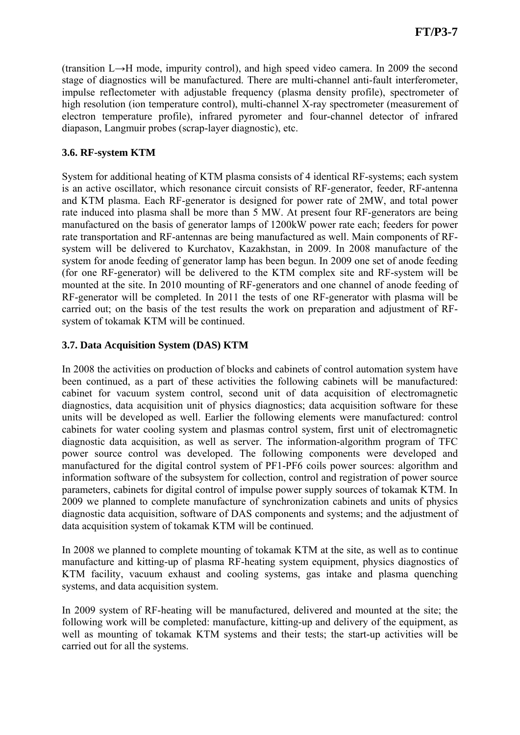(transition L→H mode, impurity control), and high speed video camera. In 2009 the second stage of diagnostics will be manufactured. There are multi-channel anti-fault interferometer, impulse reflectometer with adjustable frequency (plasma density profile), spectrometer of high resolution (ion temperature control), multi-channel X-ray spectrometer (measurement of electron temperature profile), infrared pyrometer and four-channel detector of infrared diapason, Langmuir probes (scrap-layer diagnostic), etc.

# **3.6. RF-system KTM**

System for additional heating of KTM plasma consists of 4 identical RF-systems; each system is an active oscillator, which resonance circuit consists of RF-generator, feeder, RF-antenna and KTM plasma. Each RF-generator is designed for power rate of 2MW, and total power rate induced into plasma shall be more than 5 MW. At present four RF-generators are being manufactured on the basis of generator lamps of 1200kW power rate each; feeders for power rate transportation and RF-antennas are being manufactured as well. Main components of RFsystem will be delivered to Kurchatov, Kazakhstan, in 2009. In 2008 manufacture of the system for anode feeding of generator lamp has been begun. In 2009 one set of anode feeding (for one RF-generator) will be delivered to the KTM complex site and RF-system will be mounted at the site. In 2010 mounting of RF-generators and one channel of anode feeding of RF-generator will be completed. In 2011 the tests of one RF-generator with plasma will be carried out; on the basis of the test results the work on preparation and adjustment of RFsystem of tokamak KTM will be continued.

# **3.7. Data Acquisition System (DAS) KTM**

In 2008 the activities on production of blocks and cabinets of control automation system have been continued, as a part of these activities the following cabinets will be manufactured: cabinet for vacuum system control, second unit of data acquisition of electromagnetic diagnostics, data acquisition unit of physics diagnostics; data acquisition software for these units will be developed as well. Earlier the following elements were manufactured: control cabinets for water cooling system and plasmas control system, first unit of electromagnetic diagnostic data acquisition, as well as server. The information-algorithm program of TFC power source control was developed. The following components were developed and manufactured for the digital control system of PF1-PF6 coils power sources: algorithm and information software of the subsystem for collection, control and registration of power source parameters, cabinets for digital control of impulse power supply sources of tokamak KTM. In 2009 we planned to complete manufacture of synchronization cabinets and units of physics diagnostic data acquisition, software of DAS components and systems; and the adjustment of data acquisition system of tokamak KTM will be continued.

In 2008 we planned to complete mounting of tokamak KTM at the site, as well as to continue manufacture and kitting-up of plasma RF-heating system equipment, physics diagnostics of KTM facility, vacuum exhaust and cooling systems, gas intake and plasma quenching systems, and data acquisition system.

In 2009 system of RF-heating will be manufactured, delivered and mounted at the site; the following work will be completed: manufacture, kitting-up and delivery of the equipment, as well as mounting of tokamak KTM systems and their tests; the start-up activities will be carried out for all the systems.